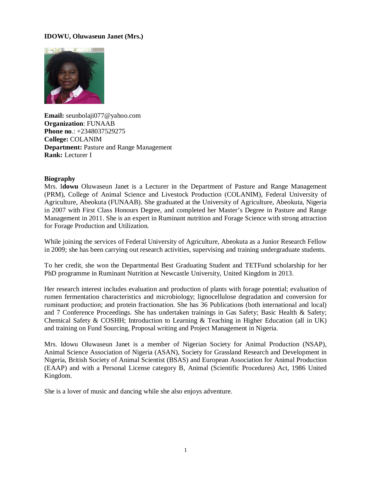### **IDOWU, Oluwaseun Janet (Mrs.)**



**Email:** [seunbolaji077@yahoo.com](mailto:seunbolaji077@yahoo.com) **Organization**: FUNAAB **Phone no**.: +2348037529275 **College:** COLANIM **Department:** Pasture and Range Management **Rank:** Lecturer I

#### **Biography**

Mrs. I**dowu** Oluwaseun Janet is a Lecturer in the Department of Pasture and Range Management (PRM), College of Animal Science and Livestock Production (COLANIM), Federal University of Agriculture, Abeokuta (FUNAAB). She graduated at the University of Agriculture, Abeokuta, Nigeria in 2007 with First Class Honours Degree, and completed her Master's Degree in Pasture and Range Management in 2011. She is an expert in Ruminant nutrition and Forage Science with strong attraction for Forage Production and Utilization.

While joining the services of Federal University of Agriculture, Abeokuta as a Junior Research Fellow in 2009; she has been carrying out research activities, supervising and training undergraduate students.

To her credit, she won the Departmental Best Graduating Student and TETFund scholarship for her PhD programme in Ruminant Nutrition at Newcastle University, United Kingdom in 2013.

Her research interest includes evaluation and production of plants with forage potential; evaluation of rumen fermentation characteristics and microbiology; lignocellulose degradation and conversion for ruminant production; and protein fractionation. She has 36 Publications (both international and local) and 7 Conference Proceedings. She has undertaken trainings in Gas Safety; Basic Health & Safety; Chemical Safety & COSHH; Introduction to Learning & Teaching in Higher Education (all in UK) and training on Fund Sourcing, Proposal writing and Project Management in Nigeria.

Mrs. Idowu Oluwaseun Janet is a member of Nigerian Society for Animal Production (NSAP), Animal Science Association of Nigeria (ASAN), Society for Grassland Research and Development in Nigeria, British Society of Animal Scientist (BSAS) and European Association for Animal Production (EAAP) and with a Personal License category B, Animal (Scientific Procedures) Act, 1986 United Kingdom.

She is a lover of music and dancing while she also enjoys adventure.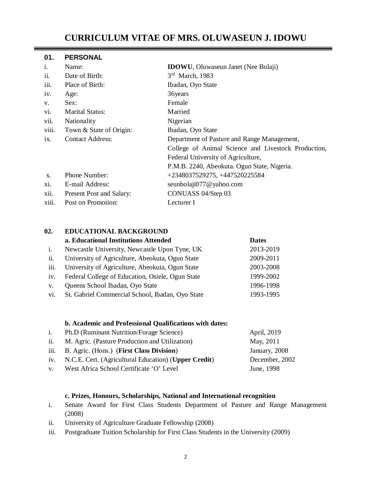# **CURRICULUM VITAE OF MRS. OLUWASEUN J. IDOWU**

#### **01. PERSONAL**

| i.                             | Name:                    | <b>IDOWU</b> , Oluwaseun Janet (Nee Bolaji)         |
|--------------------------------|--------------------------|-----------------------------------------------------|
| ii.                            | Date of Birth:           | $3rd$ March, 1983                                   |
| iii.                           | Place of Birth:          | Ibadan, Oyo State                                   |
| iv.                            | Age:                     | 36 years                                            |
| V.                             | Sex:                     | Female                                              |
| Vİ.                            | <b>Marital Status:</b>   | Married                                             |
| vii.                           | Nationality              | Nigerian                                            |
| viii.                          | Town & State of Origin:  | Ibadan, Oyo State                                   |
| ix.<br><b>Contact Address:</b> |                          | Department of Pasture and Range Management,         |
|                                |                          | College of Animal Science and Livestock Production, |
|                                |                          | Federal University of Agriculture,                  |
|                                |                          | P.M.B. 2240, Abeokuta. Ogun State, Nigeria.         |
| X.                             | Phone Number:            | +2348037529275, +447520225584                       |
| X1.                            | E-mail Address:          | seunbolaji077@yahoo.com                             |
| xii.                           | Present Post and Salary: | CONUASS 04/Step 03                                  |
| xiii.                          | Post on Promotion:       | Lecturer I                                          |

# **02. EDUCATIONAL BACKGROUND**

|      | a. Educational Institutions Attended             | <b>Dates</b> |
|------|--------------------------------------------------|--------------|
| i.   | Newcastle University, Newcastle Upon Tyne, UK    | 2013-2019    |
| ii.  | University of Agriculture, Abeokuta, Ogun State  | 2009-2011    |
| iii. | University of Agriculture, Abeokuta, Ogun State  | 2003-2008    |
| iv.  | Federal College of Education, Osiele, Ogun State | 1999-2002    |
| V.   | Queens School Ibadan, Oyo State                  | 1996-1998    |
| vi.  | St. Gabriel Commercial School, Ibadan, Oyo State | 1993-1995    |

# **b. Academic and Professional Qualifications with dates:**

| Ph.D (Ruminant Nutrition/Forage Science) | April, 2019                                                                                                                                                                                                |
|------------------------------------------|------------------------------------------------------------------------------------------------------------------------------------------------------------------------------------------------------------|
|                                          | May, 2011                                                                                                                                                                                                  |
|                                          | January, 2008                                                                                                                                                                                              |
|                                          | December, 2002                                                                                                                                                                                             |
|                                          | June, 1998                                                                                                                                                                                                 |
|                                          | M. Agric. (Pasture Production and Utilization)<br>iii. B. Agric. (Hons.) (First Class Division)<br>iv. N.C.E. Cert. (Agricultural Education) (Upper Credit)<br>v. West Africa School Certificate 'O' Level |

#### **c. Prizes, Honours, Scholarships, National and International recognition**

- i. Senate Award for First Class Students Department of Pasture and Range Management (2008)
- ii. University of Agriculture Graduate Fellowship (2008)
- iii. Postgraduate Tuition Scholarship for First Class Students in the University (2009)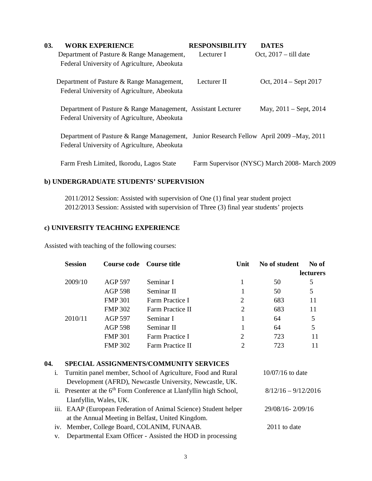| <b>WORK EXPERIENCE</b>                      |                                                                                                                                         | <b>DATES</b>                                                                                                                                                                     |
|---------------------------------------------|-----------------------------------------------------------------------------------------------------------------------------------------|----------------------------------------------------------------------------------------------------------------------------------------------------------------------------------|
| Department of Pasture & Range Management,   | Lecturer I                                                                                                                              | Oct, $2017 -$ till date                                                                                                                                                          |
| Federal University of Agriculture, Abeokuta |                                                                                                                                         |                                                                                                                                                                                  |
|                                             | Lecturer II                                                                                                                             | Oct, $2014 -$ Sept $2017$                                                                                                                                                        |
|                                             |                                                                                                                                         |                                                                                                                                                                                  |
|                                             |                                                                                                                                         | May, $2011 -$ Sept, $2014$                                                                                                                                                       |
|                                             |                                                                                                                                         |                                                                                                                                                                                  |
|                                             |                                                                                                                                         |                                                                                                                                                                                  |
| Federal University of Agriculture, Abeokuta |                                                                                                                                         |                                                                                                                                                                                  |
| Farm Fresh Limited, Ikorodu, Lagos State    |                                                                                                                                         | Farm Supervisor (NYSC) March 2008- March 2009                                                                                                                                    |
|                                             | Department of Pasture & Range Management,<br>Federal University of Agriculture, Abeokuta<br>Federal University of Agriculture, Abeokuta | <b>RESPONSIBILITY</b><br>Department of Pasture & Range Management, Assistant Lecturer<br>Department of Pasture & Range Management, Junior Research Fellow April 2009 – May, 2011 |

# **b) UNDERGRADUATE STUDENTS' SUPERVISION**

2011/2012 Session: Assisted with supervision of One (1) final year student project 2012/2013 Session: Assisted with supervision of Three (3) final year students' projects

# **c) UNIVERSITY TEACHING EXPERIENCE**

Assisted with teaching of the following courses:

| <b>Session</b> | Course code Course title |                         | Unit           | No of student | No of            |
|----------------|--------------------------|-------------------------|----------------|---------------|------------------|
|                |                          |                         |                |               | <b>lecturers</b> |
| 2009/10        | <b>AGP 597</b>           | Seminar I               |                | 50            | 5                |
|                | <b>AGP 598</b>           | Seminar II              |                | 50            | 5                |
|                | <b>FMP 301</b>           | Farm Practice I         | 2              | 683           | 11               |
|                | <b>FMP 302</b>           | <b>Farm Practice II</b> | 2              | 683           | 11               |
| 2010/11        | <b>AGP 597</b>           | Seminar I               |                | 64            | 5                |
|                | AGP 598                  | Seminar II              |                | 64            | 5                |
|                | <b>FMP 301</b>           | Farm Practice I         | $\overline{2}$ | 723           | 11               |
|                | <b>FMP 302</b>           | Farm Practice II        |                | 723           | 11               |

# **04. SPECIAL ASSIGNMENTS/COMMUNITY SERVICES**

| i. | Turnitin panel member, School of Agriculture, Food and Rural                    | $10/07/16$ to date    |
|----|---------------------------------------------------------------------------------|-----------------------|
|    | Development (AFRD), Newcastle University, Newcastle, UK.                        |                       |
|    | ii. Presenter at the 6 <sup>th</sup> Form Conference at Llanfyllin high School, | $8/12/16 - 9/12/2016$ |
|    | Llanfyllin, Wales, UK.                                                          |                       |
|    | iii. EAAP (European Federation of Animal Science) Student helper                | 29/08/16-2/09/16      |
|    | at the Annual Meeting in Belfast, United Kingdom.                               |                       |
|    | iv. Member, College Board, COLANIM, FUNAAB.                                     | $2011$ to date        |
|    |                                                                                 |                       |

v. Departmental Exam Officer - Assisted the HOD in processing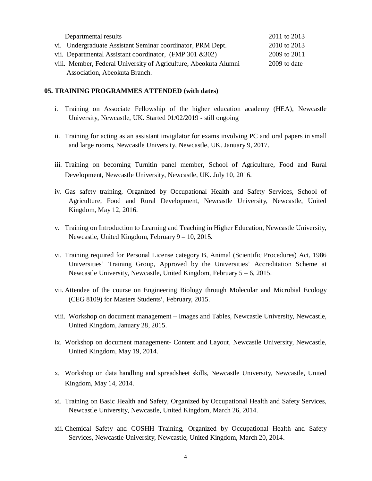| Departmental results                                             | 2011 to 2013 |
|------------------------------------------------------------------|--------------|
| vi. Undergraduate Assistant Seminar coordinator, PRM Dept.       | 2010 to 2013 |
| vii. Departmental Assistant coordinator, (FMP 301 & 302)         | 2009 to 2011 |
| viii. Member, Federal University of Agriculture, Abeokuta Alumni | 2009 to date |
| Association, Abeokuta Branch.                                    |              |

#### **05. TRAINING PROGRAMMES ATTENDED (with dates)**

- i. Training on Associate Fellowship of the higher education academy (HEA), Newcastle University, Newcastle, UK. Started 01/02/2019 - still ongoing
- ii. Training for acting as an assistant invigilator for exams involving PC and oral papers in small and large rooms, Newcastle University, Newcastle, UK. January 9, 2017.
- iii. Training on becoming Turnitin panel member, School of Agriculture, Food and Rural Development, Newcastle University, Newcastle, UK. July 10, 2016.
- iv. Gas safety training, Organized by Occupational Health and Safety Services, School of Agriculture, Food and Rural Development, Newcastle University, Newcastle, United Kingdom, May 12, 2016.
- v. Training on Introduction to Learning and Teaching in Higher Education, Newcastle University, Newcastle, United Kingdom, February 9 – 10, 2015.
- vi. Training required for Personal License category B, Animal (Scientific Procedures) Act, 1986 Universities' Training Group, Approved by the Universities' Accreditation Scheme at Newcastle University, Newcastle, United Kingdom, February 5 – 6, 2015.
- vii. Attendee of the course on Engineering Biology through Molecular and Microbial Ecology (CEG 8109) for Masters Students', February, 2015.
- viii. Workshop on document management Images and Tables, Newcastle University, Newcastle, United Kingdom, January 28, 2015.
- ix. Workshop on document management- Content and Layout, Newcastle University, Newcastle, United Kingdom, May 19, 2014.
- x. Workshop on data handling and spreadsheet skills, Newcastle University, Newcastle, United Kingdom, May 14, 2014.
- xi. Training on Basic Health and Safety, Organized by Occupational Health and Safety Services, Newcastle University, Newcastle, United Kingdom, March 26, 2014.
- xii. Chemical Safety and COSHH Training, Organized by Occupational Health and Safety Services, Newcastle University, Newcastle, United Kingdom, March 20, 2014.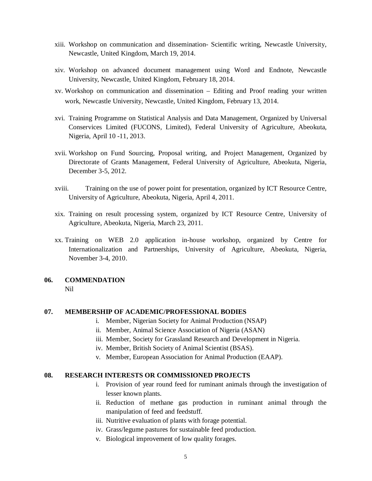- xiii. Workshop on communication and dissemination- Scientific writing, Newcastle University, Newcastle, United Kingdom, March 19, 2014.
- xiv. Workshop on advanced document management using Word and Endnote, Newcastle University, Newcastle, United Kingdom, February 18, 2014.
- xv. Workshop on communication and dissemination Editing and Proof reading your written work, Newcastle University, Newcastle, United Kingdom, February 13, 2014.
- xvi. Training Programme on Statistical Analysis and Data Management, Organized by Universal Conservices Limited (FUCONS, Limited), Federal University of Agriculture, Abeokuta, Nigeria, April 10 -11, 2013.
- xvii. Workshop on Fund Sourcing, Proposal writing, and Project Management, Organized by Directorate of Grants Management, Federal University of Agriculture, Abeokuta, Nigeria, December 3-5, 2012.
- xviii. Training on the use of power point for presentation, organized by ICT Resource Centre, University of Agriculture, Abeokuta, Nigeria, April 4, 2011.
- xix. Training on result processing system, organized by ICT Resource Centre, University of Agriculture, Abeokuta, Nigeria, March 23, 2011.
- xx. Training on WEB 2.0 application in-house workshop, organized by Centre for Internationalization and Partnerships, University of Agriculture, Abeokuta, Nigeria, November 3-4, 2010.

# **06. COMMENDATION**

Nil

### **07. MEMBERSHIP OF ACADEMIC/PROFESSIONAL BODIES**

- i. Member, Nigerian Society for Animal Production (NSAP)
- ii. Member, Animal Science Association of Nigeria (ASAN)
- iii. Member, Society for Grassland Research and Development in Nigeria.
- iv. Member, British Society of Animal Scientist (BSAS).
- v. Member, European Association for Animal Production (EAAP).

#### **08. RESEARCH INTERESTS OR COMMISSIONED PROJECTS**

- i. Provision of year round feed for ruminant animals through the investigation of lesser known plants.
- ii. Reduction of methane gas production in ruminant animal through the manipulation of feed and feedstuff.
- iii. Nutritive evaluation of plants with forage potential.
- iv. Grass/legume pastures for sustainable feed production.
- v. Biological improvement of low quality forages.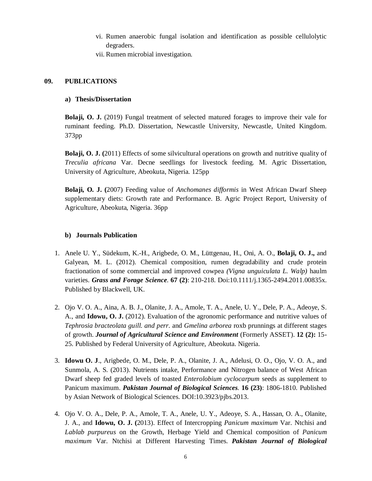- vi. Rumen anaerobic fungal isolation and identification as possible cellulolytic degraders.
- vii. Rumen microbial investigation.

# **09. PUBLICATIONS**

#### **a) Thesis/Dissertation**

**Bolaji, O. J.** (2019) Fungal treatment of selected matured forages to improve their vale for ruminant feeding. Ph.D. Dissertation, Newcastle University, Newcastle, United Kingdom. 373pp

**Bolaji, O. J. (**2011) Effects of some silvicultural operations on growth and nutritive quality of *Treculia africana* Var. Decne seedlings for livestock feeding. M. Agric Dissertation, University of Agriculture, Abeokuta, Nigeria. 125pp

**Bolaji, O. J. (**2007) Feeding value of *Anchomanes difformis* in West African Dwarf Sheep supplementary diets: Growth rate and Performance. B. Agric Project Report, University of Agriculture, Abeokuta, Nigeria. 36pp

### **b) Journals Publication**

- 1. Anele U. Y., Südekum, K.-H., Arigbede, O. M., Lüttgenau, H., Oni, A. O., **Bolaji, O. J.,** and Galyean, M. L. (2012). Chemical composition, rumen degradability and crude protein fractionation of some commercial and improved cowpea *(Vigna unguiculata L. Walp)* haulm varieties. *Grass and Forage Science.* **67 (2)**: 210-218. Doi:10.1111/j.1365-2494.2011.00835x. Published by Blackwell, UK.
- 2. Ojo V. O. A., Aina, A. B. J., Olanite, J. A., Amole, T. A., Anele, U. Y., Dele, P. A., Adeoye, S. A., and **Idowu, O. J.** (2012). Evaluation of the agronomic performance and nutritive values of *Tephrosia bracteolata guill. and perr*. and *Gmelina arborea* roxb prunnings at different stages of growth. *Journal of Agricultural Science and Environment* (Formerly ASSET). **12 (2):** 15- 25. Published by Federal University of Agriculture, Abeokuta. Nigeria.
- 3. **Idowu O. J**., Arigbede, O. M., Dele, P. A., Olanite, J. A., Adelusi, O. O., Ojo, V. O. A., and Sunmola, A. S. (2013). Nutrients intake, Performance and Nitrogen balance of West African Dwarf sheep fed graded levels of toasted *Enterolobium cyclocarpum* seeds as supplement to Panicum maximum. *Pakistan Journal of Biological Sciences.* **16 (23)**: 1806-1810. Published by Asian Network of Biological Sciences. DOI:10.3923/pjbs.2013.
- 4. Ojo V. O. A., Dele, P. A., Amole, T. A., Anele, U. Y., Adeoye, S. A., Hassan, O. A., Olanite, J. A., and **Idowu, O. J. (**2013). Effect of Intercropping *Panicum maximum* Var. Ntchisi and *Lablab purpureus* on the Growth, Herbage Yield and Chemical composition of *Panicum maximum* Var. Ntchisi at Different Harvesting Times. *Pakistan Journal of Biological*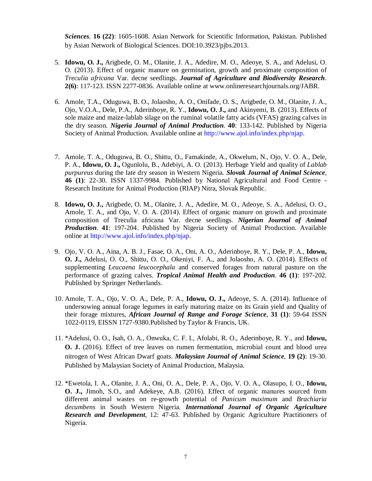*Sciences*. **16 (22)**: 1605-1608. Asian Network for Scientific Information, Pakistan. Published by Asian Network of Biological Sciences. DOI:10.3923/pjbs.2013.

- 5. **Idowu, O. J.,** Arigbede, O. M., Olanite, J. A., Adedire, M. O., Adeoye, S. A., and Adelusi, O. O. (2013). Effect of organic manure on germination, growth and proximate composition of *Treculia africana* Var. decne seedlings. *Journal of Agriculture and Biodiversity Research*. **2(6)**: 117-123. ISSN 2277-0836. Available online at [www.onlineresearchjournals.org/JABR.](http://www.onlineresearchjournals.org/JABR.)
- 6. Amole, T.A., Oduguwa, B. O., Jolaosho, A. O., Onifade, O. S., Arigbede, O. M., Olanite, J. A., Ojo, V.O.A., Dele, P.A., Aderinboye, R. Y., **Idowu, O. J.,** and Akinyemi, B. (2013). Effects of sole maize and maize-lablab silage on the ruminal volatile fatty acids (VFAS) grazing calves in the dry season. *Nigeria Journal of Animal Production*. **40**: 133-142. Published by Nigeria Society of Animal Production. Available online at <http://www.ajol.info/index.php/njap.>
- 7. Amole, T. A., Oduguwa, B. O., Shittu, O., Famakinde, A., Okwelum, N., Ojo, V. O. A., Dele, P. A., **Idowu, O. J.,** Ogunlolu, B., Adebiyi, A. O. (2013). Herbage Yield and quality of *Lablab purpureus* during the late dry season in Western Nigeria. *Slovak Journal of Animal Science,* **46 (1)**: 22-30. ISSN 1337-9984. Published by National Agricultural and Food Centre - Research Institute for Animal Production (RIAP) Nitra, Slovak Republic.
- 8. **Idowu, O. J.,** Arigbede, O. M., Olanite, J. A., Adedire, M. O., Adeoye, S. A., Adelusi, O. O., Amole, T. A., and Ojo, V. O. A. (2014). Effect of organic manure on growth and proximate composition of Treculia africana Var. decne seedlings. *Nigerian Journal of Animal Production*. **41**: 197-204. Published by Nigeria Society of Animal Production. Available online at <http://www.ajol.info/index.php/njap.>
- 9. Ojo, V. O. A., Aina, A. B. J., Fasae, O. A., Oni, A. O., Aderinboye, R. Y., Dele, P. A., **Idowu, O. J.,** Adelusi, O. O., Shittu, O. O., Okeniyi, F. A., and Jolaosho, A. O. (2014). Effects of supplementing *Leucaena leucocephala* and conserved forages from natural pasture on the performance of grazing calves. *Tropical Animal Health and Production*. **46 (1)**: 197-202. Published by Springer Netherlands.
- 10. Amole, T. A., Ojo, V. O. A., Dele, P. A., **Idowu, O. J.,** Adeoye, S. A. (2014). Influence of undersowing annual forage legumes in early maturing maize on its Grain yield and Quality of their forage mixtures, *African Journal of Range and Forage Science*, **31 (1)**: 59-64 ISSN 1022-0119, EISSN 1727-9380.Published by Taylor & Francis, UK.
- 11. \*Adelusi, O. O., Isah, O. A., Onwuka, C. F. I., Afolabi, R. O., Aderinboye, R. Y., and **Idowu, O. J.** (2016). Effect of tree leaves on rumen fermentation, microbial count and blood urea nitrogen of West African Dwarf goats. *Malaysian Journal of Animal Science*, **19 (2)**: 19-30. Published by Malaysian Society of Animal Production, Malaysia.
- 12. \*Ewetola, I. A., Olanite, J. A., Oni, O. A., Dele, P. A., Ojo, V. O. A., Olasupo, I. O., **Idowu, O. J.,** Jimoh, S.O., and Adekeye, A.B. (2016). Effect of organic manures sourced from different animal wastes on re-growth potential of *Panicum maximum* and *Brachiaria decumbens* in South Western Nigeria. *International Journal of Organic Agriculture Research and Development*, 12: 47-63. Published by Organic Agriculture Practitioners of Nigeria.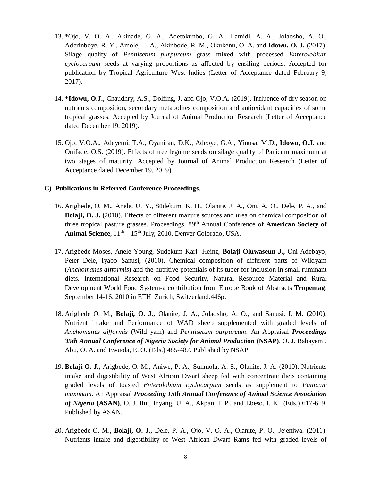- 13. \*Ojo, V. O. A., Akinade, G. A., Adetokunbo, G. A., Lamidi, A. A., Jolaosho, A. O., Aderinboye, R. Y., Amole, T. A., Akinbode, R. M., Okukenu, O. A. and **Idowu, O. J.** (2017). Silage quality of *Pennisetum purpureum* grass mixed with processed *Enterolobium cyclocarpum* seeds at varying proportions as affected by ensiling periods. Accepted for publication by Tropical Agriculture West Indies (Letter of Acceptance dated February 9, 2017).
- 14. **\*Idowu, O.J.**, Chaudhry, A.S., Dolfing, J. and Ojo, V.O.A. (2019). Influence of dry season on nutrients composition, secondary metabolites composition and antioxidant capacities of some tropical grasses. Accepted by Journal of Animal Production Research (Letter of Acceptance dated December 19, 2019).
- 15. Ojo, V.O.A., Adeyemi, T.A., Oyaniran, D.K., Adeoye, G.A., Yinusa, M.D., **Idowu, O.J.** and Onifade, O.S. (2019). Effects of tree legume seeds on silage quality of Panicum maximum at two stages of maturity. Accepted by Journal of Animal Production Research (Letter of Acceptance dated December 19, 2019).

#### **C) Publications in Referred Conference Proceedings.**

- 16. Arigbede, O. M., Anele, U. Y., Südekum, K. H., Olanite, J. A., Oni, A. O., Dele, P. A., and **Bolaji, O. J. (**2010). Effects of different manure sources and urea on chemical composition of three tropical pasture grasses*.* Proceedings, 89th Annual Conference of **American Society of**  Animal Science,  $11<sup>th</sup> - 15<sup>th</sup>$  July, 2010. Denver Colorado, USA.
- 17. Arigbede Moses, Anele Young, Sudekum Karl- Heinz, **Bolaji Oluwaseun J.,** Oni Adebayo, Peter Dele, Iyabo Sanusi, (2010). Chemical composition of different parts of Wildyam (*Anchomanes difformis*) and the nutritive potentials of its tuber for inclusion in small ruminant diets. International Research on Food Security, Natural Resource Material and Rural Development World Food System-a contribution from Europe Book of Abstracts **Tropentag**, September 14-16, 2010 in ETH Zurich, Switzerland.446p.
- 18. Arigbede O. M., **Bolaji, O. J.,** Olanite, J. A., Jolaosho, A. O., and Sanusi, I. M. (2010). Nutrient intake and Performance of WAD sheep supplemented with graded levels of *Anchomanes difformis* (Wild yam) and *Pennisetum purpureum*. An Appraisal *Proceedings 35th Annual Conference of Nigeria Society for Animal Production* **(NSAP)**, O. J. Babayemi, Abu, O. A. and Ewuola, E. O. (Eds.) 485-487. Published by NSAP.
- 19. **Bolaji O. J.,** Arigbede, O. M., Aniwe, P. A., Sunmola, A. S., Olanite, J. A. (2010). Nutrients intake and digestibility of West African Dwarf sheep fed with concentrate diets containing graded levels of toasted *Enterolobium cyclocarpum* seeds as supplement to *Panicum maximum*. An Appraisal *Proceeding 15th Annual Conference of Animal Science Association of Nigeria* **(ASAN)**, O. J. Ifut, Inyang, U. A., Akpan, I. P., and Ebeso, I. E. (Eds.) 617-619. Published by ASAN.
- 20. Arigbede O. M., **Bolaji, O. J.,** Dele, P. A., Ojo, V. O. A., Olanite, P. O., Jejeniwa. (2011). Nutrients intake and digestibility of West African Dwarf Rams fed with graded levels of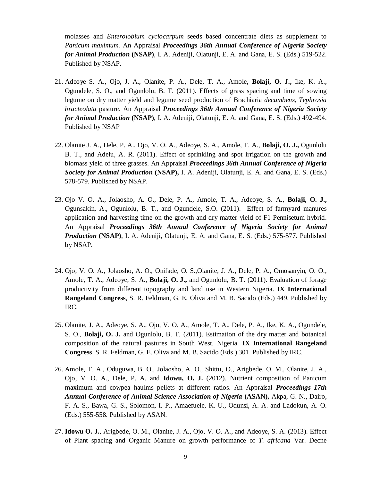molasses and *Enterolobium cyclocarpum* seeds based concentrate diets as supplement to *Panicum maximum.* An Appraisal *Proceedings 36th Annual Conference of Nigeria Society for Animal Production* **(NSAP)**, I. A. Adeniji, Olatunji, E. A. and Gana, E. S. (Eds.) 519-522. Published by NSAP.

- 21. Adeoye S. A., Ojo, J. A., Olanite, P. A., Dele, T. A., Amole, **Bolaji, O. J.,** Ike, K. A., Ogundele, S. O., and Ogunlolu, B. T. (2011). Effects of grass spacing and time of sowing legume on dry matter yield and legume seed production of Brachiaria *decumbens, Tephrosia bracteolata* pasture. An Appraisal *Proceedings 36th Annual Conference of Nigeria Society for Animal Production* **(NSAP)**, I. A. Adeniji, Olatunji, E. A. and Gana, E. S. (Eds.) 492-494. Published by NSAP
- 22. Olanite J. A., Dele, P. A., Ojo, V. O. A., Adeoye, S. A., Amole, T. A., **Bolaji, O. J.,** Ogunlolu B. T., and Adelu, A. R. (2011). Effect of sprinkling and spot irrigation on the growth and biomass yield of three grasses. An Appraisal *Proceedings 36th Annual Conference of Nigeria Society for Animal Production* **(NSAP),** I. A. Adeniji, Olatunji, E. A. and Gana, E. S. (Eds.) 578-579. Published by NSAP.
- 23. Ojo V. O. A., Jolaosho, A. O., Dele, P. A., Amole, T. A., Adeoye, S. A., **Bolaji**, **O. J.,**  Ogunsakin, A., Ogunlolu, B. T., and Ogundele, S.O. (2011). Effect of farmyard manures application and harvesting time on the growth and dry matter yield of F1 Pennisetum hybrid. An Appraisal *Proceedings 36th Annual Conference of Nigeria Society for Animal Production* **(NSAP)**, I. A. Adeniji, Olatunji, E. A. and Gana, E. S. (Eds.) 575-577. Published by NSAP.
- 24. Ojo, V. O. A., Jolaosho, A. O., Onifade, O. S.,Olanite, J. A., Dele, P. A., Omosanyin, O. O., Amole, T. A., Adeoye, S. A., **Bolaji, O. J.,** and Ogunlolu, B. T. (2011). Evaluation of forage productivity from different topography and land use in Western Nigeria. **IX International Rangeland Congress**, S. R. Feldman, G. E. Oliva and M. B. Sacido (Eds.) 449. Published by IRC.
- 25. Olanite, J. A., Adeoye, S. A., Ojo, V. O. A., Amole, T. A., Dele, P. A., Ike, K. A., Ogundele, S. O., **Bolaji, O. J.** and Ogunlolu, B. T. (2011). Estimation of the dry matter and botanical composition of the natural pastures in South West, Nigeria. **IX International Rangeland Congress**, S. R. Feldman, G. E. Oliva and M. B. Sacido (Eds.) 301. Published by IRC.
- 26. Amole, T. A., Oduguwa, B. O., Jolaosho, A. O., Shittu, O., Arigbede, O. M., Olanite, J. A., Ojo, V. O. A., Dele, P. A. and **Idowu, O. J.** (2012). Nutrient composition of Panicum maximum and cowpea haulms pellets at different ratios. An Appraisal *Proceedings 17th Annual Conference of Animal Science Association of Nigeria* **(ASAN),** Akpa, G. N., Dairo, F. A. S., Bawa, G. S., Solomon, I. P., Amaefuele, K. U., Odunsi, A. A. and Ladokun, A. O. (Eds.) 555-558. Published by ASAN.
- 27. **Idowu O. J.**, Arigbede, O. M., Olanite, J. A., Ojo, V. O. A., and Adeoye, S. A. (2013). Effect of Plant spacing and Organic Manure on growth performance of *T. africana* Var. Decne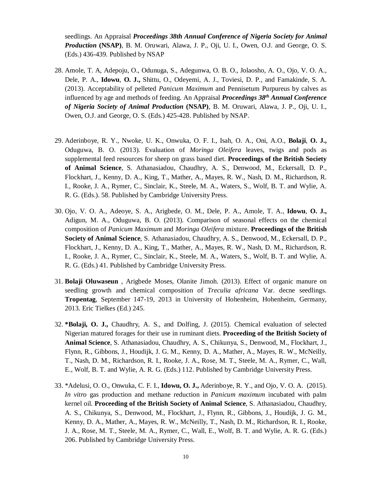seedlings. An Appraisal *Proceedings 38th Annual Conference of Nigeria Society for Animal Production* **(NSAP)**, B. M. Oruwari, Alawa, J. P., Oji, U. I., Owen, O.J. and George, O. S. (Eds.) 436-439. Published by NSAP

- 28. Amole, T. A, Adepoju, O., Odunuga, S., Adegunwa, O. B. O., Jolaosho, A. O., Ojo, V. O. A., Dele, P. A., **Idowu**, **O. J.,** Shittu, O., Odeyemi, A. J., Toviesi, D. P., and Famakinde, S. A. (2013). Acceptability of pelleted *Panicum Maximum* and Pennisetum Purpureus by calves as influenced by age and methods of feeding. An Appraisal *Proceedings 38th Annual Conference of Nigeria Society of Animal Production* **(NSAP)**, B. M. Oruwari, Alawa, J. P., Oji, U. I., Owen, O.J. and George, O. S. (Eds.) 425-428. Published by NSAP.
- 29. Aderinboye, R. Y., Nwoke, U. K., Onwuka, O. F. I., Isah, O. A., Oni, A.O., **Bolaji**, **O. J.,**  Oduguwa, B. O. (2013). Evaluation of *Moringa Oleifera* leaves, twigs and pods as supplemental feed resources for sheep on grass based diet. **Proceedings of the British Society of Animal Science**, S. Athanasiadou, Chaudhry, A. S., Denwood, M., Eckersall, D. P., Flockhart, J., Kenny, D. A., King, T., Mather, A., Mayes, R. W., Nash, D. M., Richardson, R. I., Rooke, J. A., Rymer, C., Sinclair, K., Steele, M. A., Waters, S., Wolf, B. T. and Wylie, A. R. G. (Eds.). 58. Published by Cambridge University Press.
- 30. Ojo, V. O. A., Adeoye, S. A., Arigbede, O. M., Dele, P. A., Amole, T. A., **Idowu**, **O. J.,**  Adigun, M. A., Oduguwa, B. O. (2013). Comparison of seasonal effects on the chemical composition of *Panicum Maximum* and *Moringa Oleifera* mixture. **Proceedings of the British Society of Animal Science**, S. Athanasiadou, Chaudhry, A. S., Denwood, M., Eckersall, D. P., Flockhart, J., Kenny, D. A., King, T., Mather, A., Mayes, R. W., Nash, D. M., Richardson, R. I., Rooke, J. A., Rymer, C., Sinclair, K., Steele, M. A., Waters, S., Wolf, B. T. and Wylie, A. R. G. (Eds.) 41. Published by Cambridge University Press.
- 31. **Bolaji Oluwaseun** , Arigbede Moses, Olanite Jimoh. (2013). Effect of organic manure on seedling growth and chemical composition of *Treculia africana* Var. decne seedlings. **Tropentag**, September 147-19, 2013 in University of Hohenheim, Hohenheim, Germany, 2013. Eric Tielkes (Ed.) 245.
- 32. **\*Bolaji, O. J.,** Chaudhry, A. S., and Dolfing, J. (2015). Chemical evaluation of selected Nigerian matured forages for their use in ruminant diets. **Proceeding of the British Society of Animal Science**, S. Athanasiadou, Chaudhry, A. S., Chikunya, S., Denwood, M., Flockhart, J., Flynn, R., Gibbons, J., Houdijk, J. G. M., Kenny, D. A., Mather, A., Mayes, R. W., McNeilly, T., Nash, D. M., Richardson, R. I., Rooke, J. A., Rose, M. T., Steele, M. A., Rymer, C., Wall, E., Wolf, B. T. and Wylie, A. R. G. (Eds.) 112. Published by Cambridge University Press.
- 33. \*Adelusi, O. O., Onwuka, C. F. I., **Idowu, O. J.,** Aderinboye, R. Y., and Ojo, V. O. A. (2015). *In vitro* gas production and methane reduction in *Panicum maximum* incubated with palm kernel oil. **Proceeding of the British Society of Animal Science**, S. Athanasiadou, Chaudhry, A. S., Chikunya, S., Denwood, M., Flockhart, J., Flynn, R., Gibbons, J., Houdijk, J. G. M., Kenny, D. A., Mather, A., Mayes, R. W., McNeilly, T., Nash, D. M., Richardson, R. I., Rooke, J. A., Rose, M. T., Steele, M. A., Rymer, C., Wall, E., Wolf, B. T. and Wylie, A. R. G. (Eds.) 206. Published by Cambridge University Press.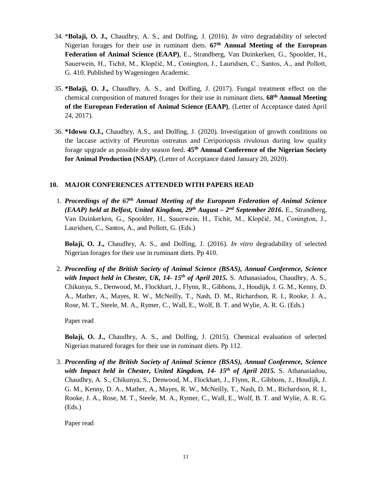- 34. \***Bolaji, O. J.,** Chaudhry, A. S., and Dolfing, J. (2016). *In vitro* degradability of selected Nigerian forages for their use in ruminant diets. **67th Annual Meeting of the European Federation of Animal Science (EAAP)**, E., Strandberg, Van Duinkerken, G., Spoolder, H., Sauerwein, H., Tichit, M., Klopčič, M., Conington, J., Lauridsen, C., Santos, A., and Pollott, G. 410. Published by Wageningen Academic.
- 35. **\*Bolaji, O. J.,** Chaudhry, A. S., and Dolfing, J. (2017). Fungal treatment effect on the chemical composition of matured forages for their use in ruminant diets. **68th Annual Meeting of the European Federation of Animal Science (EAAP)**, (Letter of Acceptance dated April 24, 2017).
- 36. **\*Idowu O.J.,** Chaudhry, A.S., and Dolfing, J. (2020). Investigation of growth conditions on the laccase activity of Pleurotus ostreatus and Ceriporiopsis rivulosus during low quality forage upgrade as possible dry season feed. **45th Annual Conference of the Nigerian Society for Animal Production (NSAP)**, (Letter of Acceptance dated January 20, 2020).

# **10. MAJOR CONFERENCES ATTENDED WITH PAPERS READ**

1. *Proceedings of the 67th Annual Meeting of the European Federation of Animal Science (EAAP) held at Belfast, United Kingdom, 29th August – 2 nd September 2016***.** E., Strandberg, Van Duinkerken, G., Spoolder, H., Sauerwein, H., Tichit, M., Klopčič, M., Conington, J., Lauridsen, C., Santos, A., and Pollott, G. (Eds.)

**Bolaji, O. J.,** Chaudhry, A. S., and Dolfing, J. (2016). *In vitro* degradability of selected Nigerian forages for their use in ruminant diets. Pp 410.

2. *Proceeding of the British Society of Animal Science (BSAS), Annual Conference, Science with Impact held in Chester, UK, 14- 15th of April 2015.* S. Athanasiadou, Chaudhry, A. S., Chikunya, S., Denwood, M., Flockhart, J., Flynn, R., Gibbons, J., Houdijk, J. G. M., Kenny, D. A., Mather, A., Mayes, R. W., McNeilly, T., Nash, D. M., Richardson, R. I., Rooke, J. A., Rose, M. T., Steele, M. A., Rymer, C., Wall, E., Wolf, B. T. and Wylie, A. R. G. (Eds.)

Paper read

**Bolaji, O. J.,** Chaudhry, A. S., and Dolfing, J. (2015). Chemical evaluation of selected Nigerian matured forages for their use in ruminant diets. Pp 112.

3. *Proceeding of the British Society of Animal Science (BSAS), Annual Conference, Science with Impact held in Chester, United Kingdom, 14- 15th of April 2015.* S. Athanasiadou, Chaudhry, A. S., Chikunya, S., Denwood, M., Flockhart, J., Flynn, R., Gibbons, J., Houdijk, J. G. M., Kenny, D. A., Mather, A., Mayes, R. W., McNeilly, T., Nash, D. M., Richardson, R. I., Rooke, J. A., Rose, M. T., Steele, M. A., Rymer, C., Wall, E., Wolf, B. T. and Wylie, A. R. G. (Eds.)

Paper read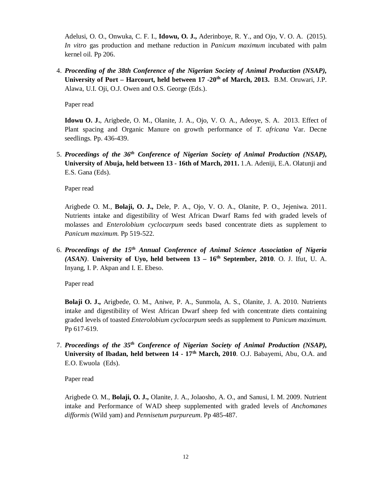Adelusi, O. O., Onwuka, C. F. I., **Idowu, O. J.,** Aderinboye, R. Y., and Ojo, V. O. A. (2015). *In vitro* gas production and methane reduction in *Panicum maximum* incubated with palm kernel oil. Pp 206.

4. *Proceeding of the 38th Conference of the Nigerian Society of Animal Production (NSAP),* **University of Port – Harcourt, held between 17 -20th of March, 2013.** B.M. Oruwari, J.P. Alawa, U.I. Oji, O.J. Owen and O.S. George (Eds.).

Paper read

**Idowu O. J.**, Arigbede, O. M., Olanite, J. A., Ojo, V. O. A., Adeoye, S. A. 2013. Effect of Plant spacing and Organic Manure on growth performance of *T. africana* Var. Decne seedlings. Pp. 436-439.

5. *Proceedings of the 36th Conference of Nigerian Society of Animal Production (NSAP),* **University of Abuja, held between 13 - 16th of March, 2011.** 1.A. Adeniji, E.A. Olatunji and E.S. Gana (Eds).

Paper read

Arigbede O. M., **Bolaji, O. J.,** Dele, P. A., Ojo, V. O. A., Olanite, P. O., Jejeniwa. 2011. Nutrients intake and digestibility of West African Dwarf Rams fed with graded levels of molasses and *Enterolobium cyclocarpum* seeds based concentrate diets as supplement to *Panicum maximum.* Pp 519-522.

6. *Proceedings of the 15th Annual Conference of Animal Science Association of Nigeria (ASAN)*. **University of Uyo, held between 13 – 16th September, 2010**. O. J. Ifut, U. A. Inyang, I. P. Akpan and I. E. Ebeso.

Paper read

**Bolaji O. J.,** Arigbede, O. M., Aniwe, P. A., Sunmola, A. S., Olanite, J. A. 2010. Nutrients intake and digestibility of West African Dwarf sheep fed with concentrate diets containing graded levels of toasted *Enterolobium cyclocarpum* seeds as supplement to *Panicum maximum.*  Pp 617-619.

7. *Proceedings of the 35th Conference of Nigerian Society of Animal Production (NSAP),* **University of Ibadan, held between 14 - 17th March, 2010**. O.J. Babayemi, Abu, O.A. and E.O. Ewuola (Eds).

Paper read

Arigbede O. M., **Bolaji, O. J.,** Olanite, J. A., Jolaosho, A. O., and Sanusi, I. M. 2009. Nutrient intake and Performance of WAD sheep supplemented with graded levels of *Anchomanes difformis* (Wild yam) and *Pennisetum purpureum*. Pp 485-487.